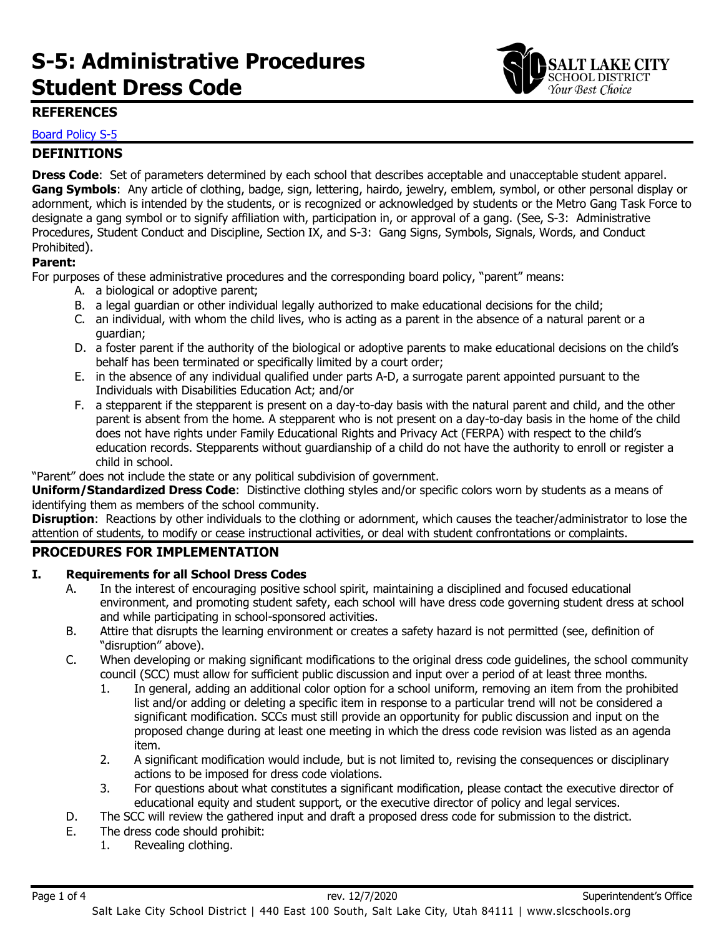# **S-5: Administrative Procedures Student Dress Code**



# **REFERENCES**

### Board [Policy S-5](https://websites.slcschools.org/fs/resource-manager/view/739a3af5-a71e-4620-8ae1-a1e245f1c67a)

# **DEFINITIONS**

**Dress Code**: Set of parameters determined by each school that describes acceptable and unacceptable student apparel. **Gang Symbols**: Any article of clothing, badge, sign, lettering, hairdo, jewelry, emblem, symbol, or other personal display or adornment, which is intended by the students, or is recognized or acknowledged by students or the Metro Gang Task Force to designate a gang symbol or to signify affiliation with, participation in, or approval of a gang. (See, S-3: Administrative Procedures, Student Conduct and Discipline, Section IX, and S-3: Gang Signs, Symbols, Signals, Words, and Conduct Prohibited).

#### **Parent:**

For purposes of these administrative procedures and the corresponding board policy, "parent" means:

- A. a biological or adoptive parent;
- B. a legal guardian or other individual legally authorized to make educational decisions for the child;
- C. an individual, with whom the child lives, who is acting as a parent in the absence of a natural parent or a guardian;
- D. a foster parent if the authority of the biological or adoptive parents to make educational decisions on the child's behalf has been terminated or specifically limited by a court order;
- E. in the absence of any individual qualified under parts A-D, a surrogate parent appointed pursuant to the Individuals with Disabilities Education Act; and/or
- F. a stepparent if the stepparent is present on a day-to-day basis with the natural parent and child, and the other parent is absent from the home. A stepparent who is not present on a day-to-day basis in the home of the child does not have rights under Family Educational Rights and Privacy Act (FERPA) with respect to the child's education records. Stepparents without guardianship of a child do not have the authority to enroll or register a child in school.

"Parent" does not include the state or any political subdivision of government.

**Uniform/Standardized Dress Code**: Distinctive clothing styles and/or specific colors worn by students as a means of identifying them as members of the school community.

**Disruption**: Reactions by other individuals to the clothing or adornment, which causes the teacher/administrator to lose the attention of students, to modify or cease instructional activities, or deal with student confrontations or complaints.

#### **PROCEDURES FOR IMPLEMENTATION**

#### **I. Requirements for all School Dress Codes**

- A. In the interest of encouraging positive school spirit, maintaining a disciplined and focused educational environment, and promoting student safety, each school will have dress code governing student dress at school and while participating in school-sponsored activities.
- B. Attire that disrupts the learning environment or creates a safety hazard is not permitted (see, definition of "disruption" above).
- C. When developing or making significant modifications to the original dress code guidelines, the school community council (SCC) must allow for sufficient public discussion and input over a period of at least three months.
	- 1. In general, adding an additional color option for a school uniform, removing an item from the prohibited list and/or adding or deleting a specific item in response to a particular trend will not be considered a significant modification. SCCs must still provide an opportunity for public discussion and input on the proposed change during at least one meeting in which the dress code revision was listed as an agenda item.
	- 2. A significant modification would include, but is not limited to, revising the consequences or disciplinary actions to be imposed for dress code violations.
	- 3. For questions about what constitutes a significant modification, please contact the executive director of educational equity and student support, or the executive director of policy and legal services.
- D. The SCC will review the gathered input and draft a proposed dress code for submission to the district.
- E. The dress code should prohibit:
	- 1. Revealing clothing.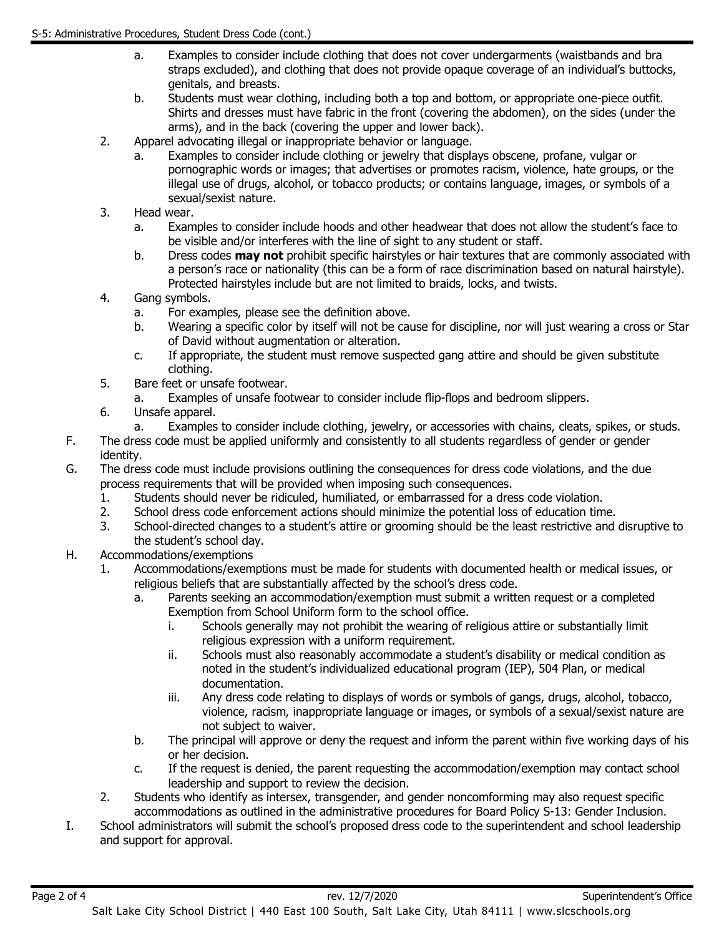- a. Examples to consider include clothing that does not cover undergarments (waistbands and bra straps excluded), and clothing that does not provide opaque coverage of an individual's buttocks, genitals, and breasts.
- b. Students must wear clothing, including both a top and bottom, or appropriate one-piece outfit. Shirts and dresses must have fabric in the front (covering the abdomen), on the sides (under the arms), and in the back (covering the upper and lower back).
- 2. Apparel advocating illegal or inappropriate behavior or language.
	- a. Examples to consider include clothing or jewelry that displays obscene, profane, vulgar or pornographic words or images; that advertises or promotes racism, violence, hate groups, or the illegal use of drugs, alcohol, or tobacco products; or contains language, images, or symbols of a sexual/sexist nature.
- 3. Head wear.
	- a. Examples to consider include hoods and other headwear that does not allow the student's face to be visible and/or interferes with the line of sight to any student or staff.
	- b. Dress codes **may not** prohibit specific hairstyles or hair textures that are commonly associated with a person's race or nationality (this can be a form of race discrimination based on natural hairstyle). Protected hairstyles include but are not limited to braids, locks, and twists.
- 4. Gang symbols.
	- a. For examples, please see the definition above.
	- b. Wearing a specific color by itself will not be cause for discipline, nor will just wearing a cross or Star of David without augmentation or alteration.
	- c. If appropriate, the student must remove suspected gang attire and should be given substitute clothing.
- 5. Bare feet or unsafe footwear.
	- a. Examples of unsafe footwear to consider include flip-flops and bedroom slippers.
- 6. Unsafe apparel.
- a. Examples to consider include clothing, jewelry, or accessories with chains, cleats, spikes, or studs.
- F. The dress code must be applied uniformly and consistently to all students regardless of gender or gender identity.
- G. The dress code must include provisions outlining the consequences for dress code violations, and the due process requirements that will be provided when imposing such consequences.
	- 1. Students should never be ridiculed, humiliated, or embarrassed for a dress code violation.
	- 2. School dress code enforcement actions should minimize the potential loss of education time.
	- 3. School-directed changes to a student's attire or grooming should be the least restrictive and disruptive to the student's school day.
- H. Accommodations/exemptions
	- 1. Accommodations/exemptions must be made for students with documented health or medical issues, or religious beliefs that are substantially affected by the school's dress code.
		- a. Parents seeking an accommodation/exemption must submit a written request or a completed Exemption from School Uniform form to the school office.
			- i. Schools generally may not prohibit the wearing of religious attire or substantially limit religious expression with a uniform requirement.
			- ii. Schools must also reasonably accommodate a student's disability or medical condition as noted in the student's individualized educational program (IEP), 504 Plan, or medical documentation.
			- iii. Any dress code relating to displays of words or symbols of gangs, drugs, alcohol, tobacco, violence, racism, inappropriate language or images, or symbols of a sexual/sexist nature are not subject to waiver.
		- b. The principal will approve or deny the request and inform the parent within five working days of his or her decision.
		- c. If the request is denied, the parent requesting the accommodation/exemption may contact school leadership and support to review the decision.
	- 2. Students who identify as intersex, transgender, and gender noncomforming may also request specific accommodations as outlined in the administrative procedures for Board Policy S-13: Gender Inclusion.
- I. School administrators will submit the school's proposed dress code to the superintendent and school leadership and support for approval.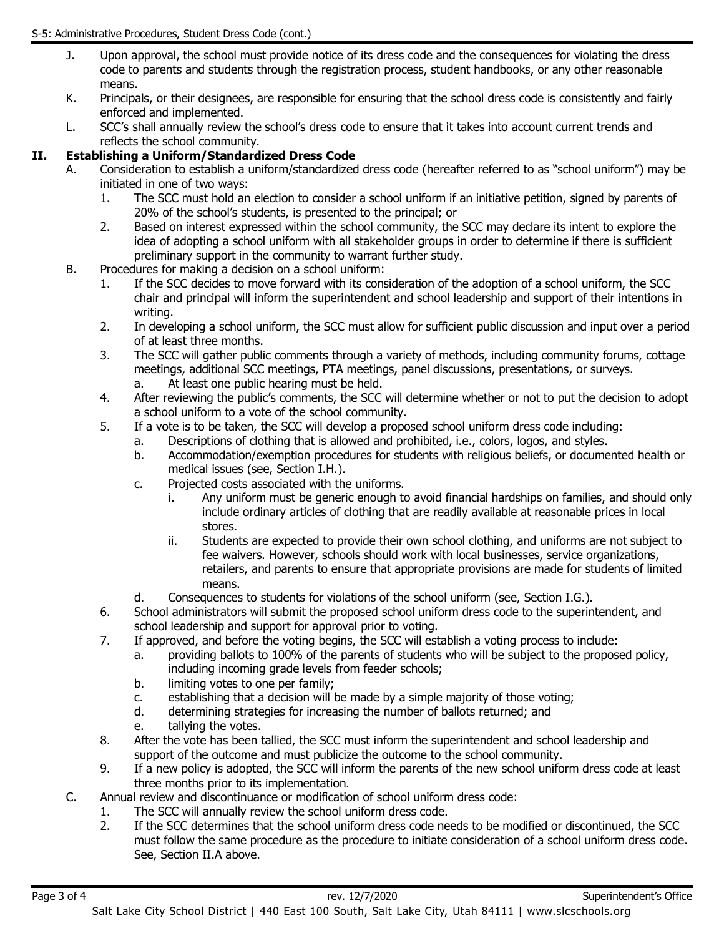- J. Upon approval, the school must provide notice of its dress code and the consequences for violating the dress code to parents and students through the registration process, student handbooks, or any other reasonable means.
- K. Principals, or their designees, are responsible for ensuring that the school dress code is consistently and fairly enforced and implemented.
- L. SCC's shall annually review the school's dress code to ensure that it takes into account current trends and reflects the school community.

# **II. Establishing a Uniform/Standardized Dress Code**

- A. Consideration to establish a uniform/standardized dress code (hereafter referred to as "school uniform") may be initiated in one of two ways:
	- 1. The SCC must hold an election to consider a school uniform if an initiative petition, signed by parents of 20% of the school's students, is presented to the principal; or
	- 2. Based on interest expressed within the school community, the SCC may declare its intent to explore the idea of adopting a school uniform with all stakeholder groups in order to determine if there is sufficient preliminary support in the community to warrant further study.
- B. Procedures for making a decision on a school uniform:
	- 1. If the SCC decides to move forward with its consideration of the adoption of a school uniform, the SCC chair and principal will inform the superintendent and school leadership and support of their intentions in writing.
	- 2. In developing a school uniform, the SCC must allow for sufficient public discussion and input over a period of at least three months.
	- 3. The SCC will gather public comments through a variety of methods, including community forums, cottage meetings, additional SCC meetings, PTA meetings, panel discussions, presentations, or surveys.
		- a. At least one public hearing must be held.
	- 4. After reviewing the public's comments, the SCC will determine whether or not to put the decision to adopt a school uniform to a vote of the school community.
	- 5. If a vote is to be taken, the SCC will develop a proposed school uniform dress code including:
		- a. Descriptions of clothing that is allowed and prohibited, i.e., colors, logos, and styles.
			- b. Accommodation/exemption procedures for students with religious beliefs, or documented health or medical issues (see, Section I.H.).
			- c. Projected costs associated with the uniforms.
				- i. Any uniform must be generic enough to avoid financial hardships on families, and should only include ordinary articles of clothing that are readily available at reasonable prices in local stores.
				- ii. Students are expected to provide their own school clothing, and uniforms are not subject to fee waivers. However, schools should work with local businesses, service organizations, retailers, and parents to ensure that appropriate provisions are made for students of limited means.
			- d. Consequences to students for violations of the school uniform (see, Section I.G.).
	- 6. School administrators will submit the proposed school uniform dress code to the superintendent, and school leadership and support for approval prior to voting.
	- 7. If approved, and before the voting begins, the SCC will establish a voting process to include:
		- a. providing ballots to 100% of the parents of students who will be subject to the proposed policy, including incoming grade levels from feeder schools;
		- b. limiting votes to one per family;
		- c. establishing that a decision will be made by a simple majority of those voting;
		- d. determining strategies for increasing the number of ballots returned; and
		- e. tallying the votes.
	- 8. After the vote has been tallied, the SCC must inform the superintendent and school leadership and support of the outcome and must publicize the outcome to the school community.
	- 9. If a new policy is adopted, the SCC will inform the parents of the new school uniform dress code at least three months prior to its implementation.
- C. Annual review and discontinuance or modification of school uniform dress code:
	- 1. The SCC will annually review the school uniform dress code.
		- 2. If the SCC determines that the school uniform dress code needs to be modified or discontinued, the SCC must follow the same procedure as the procedure to initiate consideration of a school uniform dress code. See, Section II.A above.